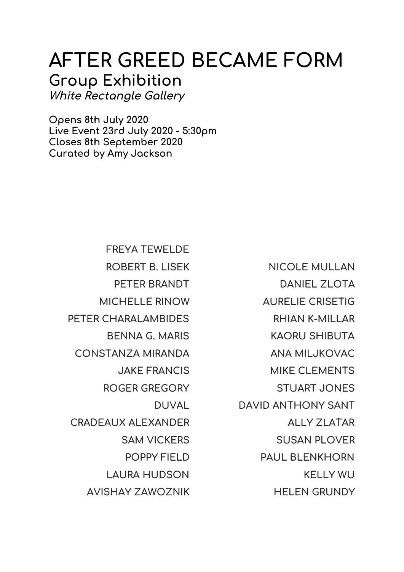## **AFTER GREED BECAME FORM Group Exhibition White Rectangle Gallery**

**Opens 8th July 2020 Live Event 23rd July 2020 - 5:30pm Closes 8th September 2020 Curated by Amy Jackson**

> **FREYA TEWELDE ROBERT B. LISEK PETER BRANDT MICHELLE RINOW PETER CHARALAMBIDES BENNA G. MARIS CONSTANZA MIRANDA JAKE FRANCIS ROGER GREGORY DUVAL CRADEAUX ALEXANDER SAM VICKERS POPPY FIELD LAURA HUDSON AVISHAY ZAWOZNIK**

**NICOLE MULLAN DANIEL ZLOTA AURELIE CRISETIG RHIAN K-MILLAR KAORU SHIBUTA ANA MILJKOVAC MIKE CLEMENTS STUART JONES DAVID ANTHONY SANT ALLY ZLATAR SUSAN PLOVER PAUL BLENKHORN KELLY WU HELEN GRUNDY**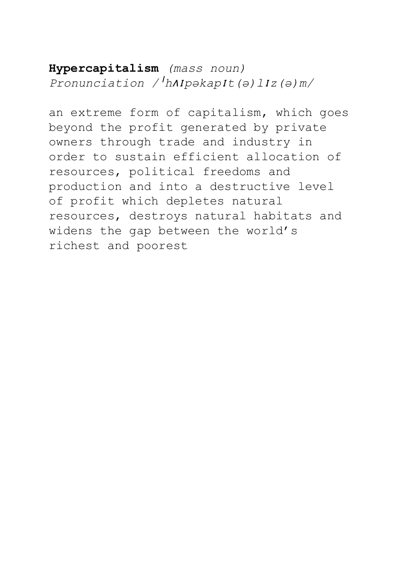**Hypercapitalism** *(mass noun) Pronunciation /*<sup>ˈ</sup>*h*ʌɪ*pəkap*ɪ*t(ə)l*ɪ*z(ə)m/*

an extreme form of capitalism, which goes beyond the profit generated by private owners through trade and industry in order to sustain efficient allocation of resources, political freedoms and production and into a destructive level of profit which depletes natural resources, destroys natural habitats and widens the gap between the world's richest and poorest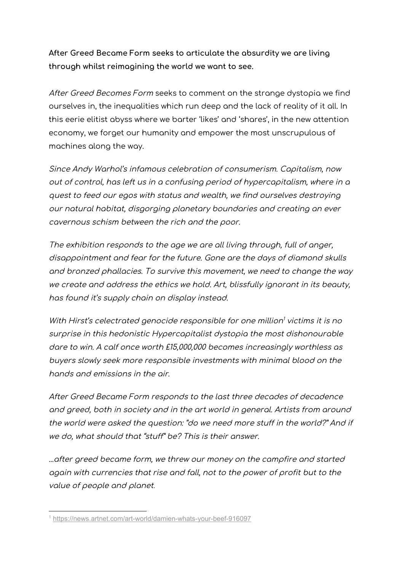**After Greed Became Form seeks to articulate the absurdity we are living through whilst reimagining the world we want to see.**

After Greed Becomes Form seeks to comment on the strange dystopia we find ourselves in, the inequalities which run deep and the lack of reality of it all. In this eerie elitist abyss where we barter 'likes' and 'shares', in the new attention economy, we forget our humanity and empower the most unscrupulous of machines along the way.

Since Andy Warhol's infamous celebration of consumerism. Capitalism, now out of control, has left us in <sup>a</sup> confusing period of hypercapitalism, where in <sup>a</sup> quest to feed our egos with status and wealth, we find ourselves destroying our natural habitat, disgorging planetary boundaries and creating an ever cavernous schism between the rich and the poor.

The exhibition responds to the age we are all living through, full of anger, disappointment and fear for the future. Gone are the days of diamond skulls and bronzed phallacies. To survive this movement, we need to change the way we create and address the ethics we hold. Art, blissfully ignorant in its beauty, has found it's supply chain on display instead.

With Hirst's celectrated genocide responsible for one million<sup>1</sup> victims it is no surprise in this hedonistic Hypercapitalist dystopia the most dishonourable dare to win. A calf once worth £15,000,000 becomes increasingly worthless as buyers slowly seek more responsible investments with minimal blood on the hands and emissions in the air.

After Greed Became Form responds to the last three decades of decadence and greed, both in society and in the art world in general. Artists from around the world were asked the question: "do we need more stuff in the world?" And if we do, what should that "stuff" be? This is their answer.

...after greed became form, we threw our money on the campfire and started again with currencies that rise and fall, not to the power of profit but to the value of people and planet*.*

<sup>&</sup>lt;sup>1</sup> <https://news.artnet.com/art-world/damien-whats-your-beef-916097>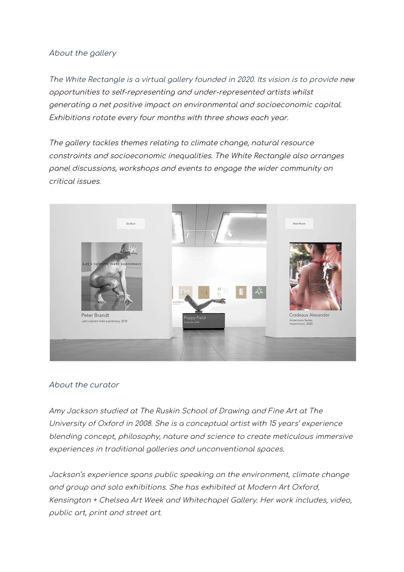## About the gallery

The White Rectangle is <sup>a</sup> virtual gallery founded in 2020. Its vision is to provide new opportunities to self-representing and under-represented artists whilst generating <sup>a</sup> net positive impact on environmental and socioeconomic capital. Exhibitions rotate every four months with three shows each year.

The gallery tackles themes relating to climate change, natural resource constraints and socioeconomic inequalities. The White Rectangle also arranges panel discussions, workshops and events to engage the wider community on critical issues.



## About the curator

Amy Jackson studied at The Ruskin School of Drawing and Fine Art at The University of Oxford in 2008. She is <sup>a</sup> conceptual artist with 15 years' experience blending concept, philosophy, nature and science to create meticulous immersive experiences in traditional galleries and unconventional spaces.

Jackson's experience spans public speaking on the environment, climate change and group and solo exhibitions. She has exhibited at Modern Art Oxford, Kensington <sup>+</sup> Chelsea Art Week and Whitechapel Gallery. Her work includes, video, public art, print and street art.